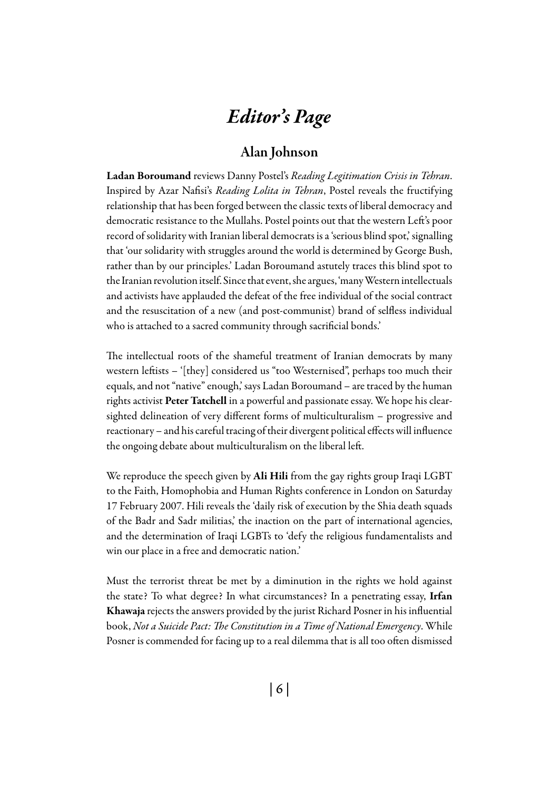# *Editor's Page*

## Alan Johnson

Ladan Boroumand reviews Danny Postel's *Reading Legitimation Crisis in Tehran*. Inspired by Azar Nafisi's *Reading Lolita in Tehran*, Postel reveals the fructifying relationship that has been forged between the classic texts of liberal democracy and democratic resistance to the Mullahs. Postel points out that the western Left's poor record of solidarity with Iranian liberal democrats is a 'serious blind spot,' signalling that 'our solidarity with struggles around the world is determined by George Bush, rather than by our principles.' Ladan Boroumand astutely traces this blind spot to the Iranian revolution itself. Since that event, she argues, 'many Western intellectuals and activists have applauded the defeat of the free individual of the social contract and the resuscitation of a new (and post-communist) brand of selfless individual who is attached to a sacred community through sacrificial bonds.'

The intellectual roots of the shameful treatment of Iranian democrats by many western leftists – '[they] considered us "too Westernised", perhaps too much their equals, and not "native" enough,' says Ladan Boroumand – are traced by the human rights activist Peter Tatchell in a powerful and passionate essay. We hope his clearsighted delineation of very different forms of multiculturalism – progressive and reactionary – and his careful tracing of their divergent political effects will influence the ongoing debate about multiculturalism on the liberal left.

We reproduce the speech given by Ali Hili from the gay rights group Iraqi LGBT to the Faith, Homophobia and Human Rights conference in London on Saturday 17 February 2007. Hili reveals the 'daily risk of execution by the Shia death squads of the Badr and Sadr militias,' the inaction on the part of international agencies, and the determination of Iraqi LGBTs to 'defy the religious fundamentalists and win our place in a free and democratic nation.'

Must the terrorist threat be met by a diminution in the rights we hold against the state? To what degree? In what circumstances? In a penetrating essay, Irfan Khawaja rejects the answers provided by the jurist Richard Posner in his influential book, *Not a Suicide Pact: The Constitution in a Time of National Emergency*. While Posner is commended for facing up to a real dilemma that is all too often dismissed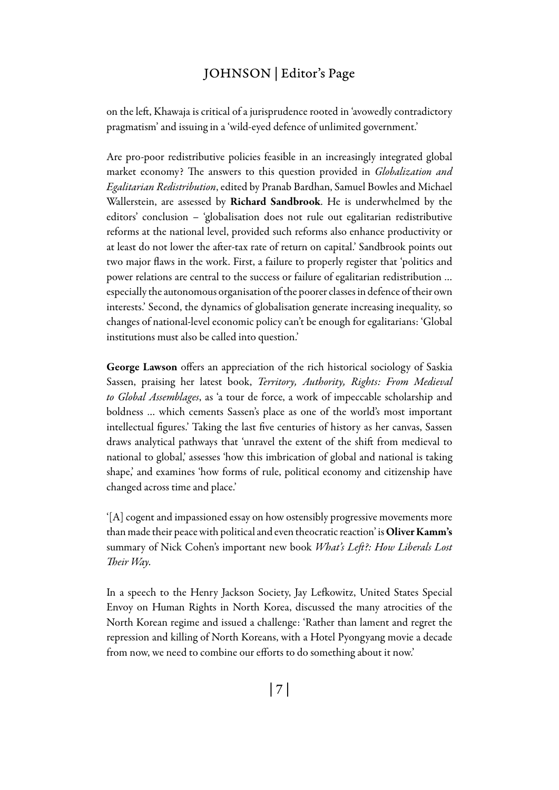## JOHNSON | Editor's Page

on the left, Khawaja is critical of a jurisprudence rooted in 'avowedly contradictory pragmatism' and issuing in a 'wild-eyed defence of unlimited government.'

Are pro-poor redistributive policies feasible in an increasingly integrated global market economy? The answers to this question provided in *Globalization and Egalitarian Redistribution*, edited by Pranab Bardhan, Samuel Bowles and Michael Wallerstein, are assessed by Richard Sandbrook. He is underwhelmed by the editors' conclusion – 'globalisation does not rule out egalitarian redistributive reforms at the national level, provided such reforms also enhance productivity or at least do not lower the after-tax rate of return on capital.' Sandbrook points out two major flaws in the work. First, a failure to properly register that 'politics and power relations are central to the success or failure of egalitarian redistribution … especially the autonomous organisation of the poorer classes in defence of their own interests.' Second, the dynamics of globalisation generate increasing inequality, so changes of national-level economic policy can't be enough for egalitarians: 'Global institutions must also be called into question.'

George Lawson offers an appreciation of the rich historical sociology of Saskia Sassen, praising her latest book, *Territory, Authority, Rights: From Medieval to Global Assemblages*, as 'a tour de force, a work of impeccable scholarship and boldness … which cements Sassen's place as one of the world's most important intellectual figures.' Taking the last five centuries of history as her canvas, Sassen draws analytical pathways that 'unravel the extent of the shift from medieval to national to global,' assesses 'how this imbrication of global and national is taking shape,' and examines 'how forms of rule, political economy and citizenship have changed across time and place.'

'[A] cogent and impassioned essay on how ostensibly progressive movements more than made their peace with political and even theocratic reaction' is Oliver Kamm's summary of Nick Cohen's important new book *What's Left?: How Liberals Lost Their Way.*

In a speech to the Henry Jackson Society, Jay Lefkowitz, United States Special Envoy on Human Rights in North Korea, discussed the many atrocities of the North Korean regime and issued a challenge: 'Rather than lament and regret the repression and killing of North Koreans, with a Hotel Pyongyang movie a decade from now, we need to combine our efforts to do something about it now.'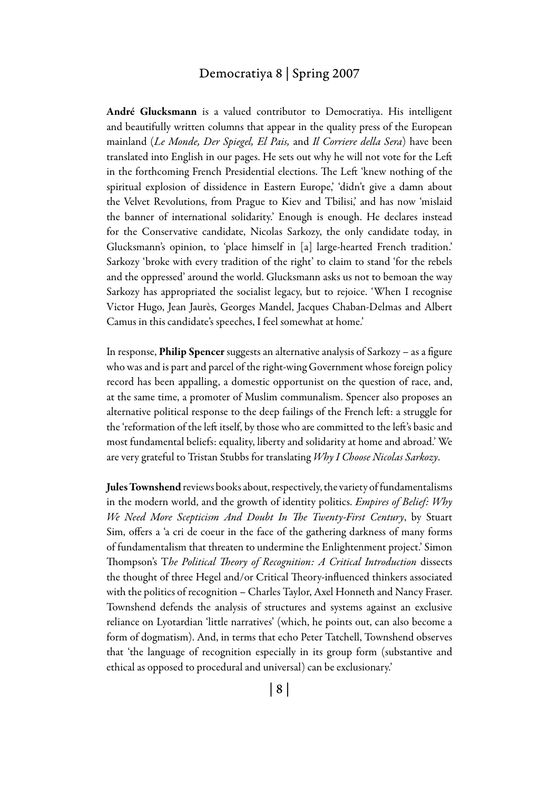#### Democratiya 8 | Spring 2007

André Glucksmann is a valued contributor to Democratiya. His intelligent and beautifully written columns that appear in the quality press of the European mainland (*Le Monde, Der Spiegel, El Pais,* and *Il Corriere della Sera*) have been translated into English in our pages. He sets out why he will not vote for the Left in the forthcoming French Presidential elections. The Left 'knew nothing of the spiritual explosion of dissidence in Eastern Europe,' 'didn't give a damn about the Velvet Revolutions, from Prague to Kiev and Tbilisi,' and has now 'mislaid the banner of international solidarity.' Enough is enough. He declares instead for the Conservative candidate, Nicolas Sarkozy, the only candidate today, in Glucksmann's opinion, to 'place himself in [a] large-hearted French tradition.' Sarkozy 'broke with every tradition of the right' to claim to stand 'for the rebels and the oppressed' around the world. Glucksmann asks us not to bemoan the way Sarkozy has appropriated the socialist legacy, but to rejoice. 'When I recognise Victor Hugo, Jean Jaurès, Georges Mandel, Jacques Chaban-Delmas and Albert Camus in this candidate's speeches, I feel somewhat at home.'

In response, Philip Spencer suggests an alternative analysis of Sarkozy – as a figure who was and is part and parcel of the right-wing Government whose foreign policy record has been appalling, a domestic opportunist on the question of race, and, at the same time, a promoter of Muslim communalism. Spencer also proposes an alternative political response to the deep failings of the French left: a struggle for the 'reformation of the left itself, by those who are committed to the left's basic and most fundamental beliefs: equality, liberty and solidarity at home and abroad.' We are very grateful to Tristan Stubbs for translating *Why I Choose Nicolas Sarkozy*.

Jules Townshend reviews books about, respectively, the variety of fundamentalisms in the modern world, and the growth of identity politics. *Empires of Belief: Why We Need More Scepticism And Doubt In The Twenty-First Century*, by Stuart Sim, offers a 'a cri de coeur in the face of the gathering darkness of many forms of fundamentalism that threaten to undermine the Enlightenment project.' Simon Thompson's T*he Political Theory of Recognition: A Critical Introduction* dissects the thought of three Hegel and/or Critical Theory-influenced thinkers associated with the politics of recognition – Charles Taylor, Axel Honneth and Nancy Fraser. Townshend defends the analysis of structures and systems against an exclusive reliance on Lyotardian 'little narratives' (which, he points out, can also become a form of dogmatism). And, in terms that echo Peter Tatchell, Townshend observes that 'the language of recognition especially in its group form (substantive and ethical as opposed to procedural and universal) can be exclusionary.'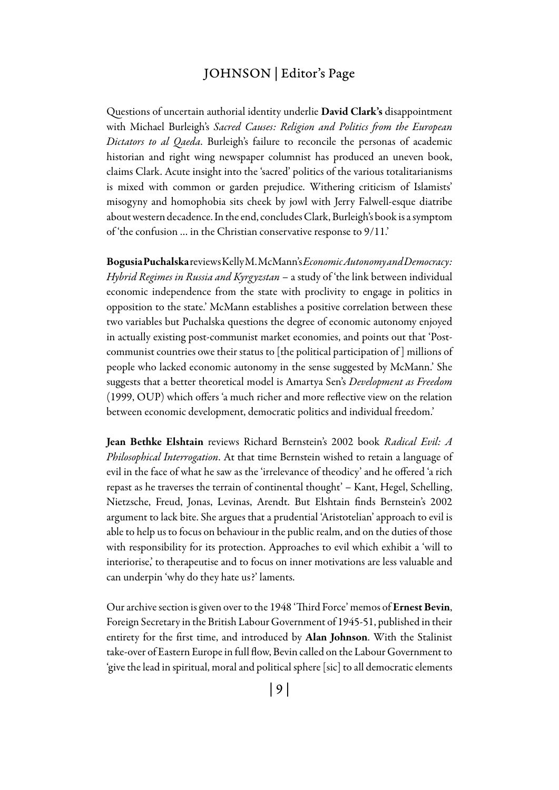### Johnson | Editor's Page

Questions of uncertain authorial identity underlie David Clark's disappointment with Michael Burleigh's *Sacred Causes: Religion and Politics from the European Dictators to al Qaeda*. Burleigh's failure to reconcile the personas of academic historian and right wing newspaper columnist has produced an uneven book, claims Clark. Acute insight into the 'sacred' politics of the various totalitarianisms is mixed with common or garden prejudice. Withering criticism of Islamists' misogyny and homophobia sits cheek by jowl with Jerry Falwell-esque diatribe about western decadence. In the end, concludes Clark, Burleigh's book is a symptom of 'the confusion … in the Christian conservative response to 9/11.'

Bogusia Puchalska reviews Kelly M. McMann's *Economic Autonomy and Democracy: Hybrid Regimes in Russia and Kyrgyzstan* – a study of 'the link between individual economic independence from the state with proclivity to engage in politics in opposition to the state.' McMann establishes a positive correlation between these two variables but Puchalska questions the degree of economic autonomy enjoyed in actually existing post-communist market economies, and points out that 'Postcommunist countries owe their status to [the political participation of ] millions of people who lacked economic autonomy in the sense suggested by McMann.' She suggests that a better theoretical model is Amartya Sen's *Development as Freedom*  (1999, OUP) which offers 'a much richer and more reflective view on the relation between economic development, democratic politics and individual freedom.'

Jean Bethke Elshtain reviews Richard Bernstein's 2002 book *Radical Evil: A Philosophical Interrogation*. At that time Bernstein wished to retain a language of evil in the face of what he saw as the 'irrelevance of theodicy' and he offered 'a rich repast as he traverses the terrain of continental thought' – Kant, Hegel, Schelling, Nietzsche, Freud, Jonas, Levinas, Arendt. But Elshtain finds Bernstein's 2002 argument to lack bite. She argues that a prudential 'Aristotelian' approach to evil is able to help us to focus on behaviour in the public realm, and on the duties of those with responsibility for its protection. Approaches to evil which exhibit a 'will to interiorise,' to therapeutise and to focus on inner motivations are less valuable and can underpin 'why do they hate us?' laments.

Our archive section is given over to the 1948 'Third Force' memos of Ernest Bevin, Foreign Secretary in the British Labour Government of 1945-51, published in their entirety for the first time, and introduced by Alan Johnson. With the Stalinist take-over of Eastern Europe in full flow, Bevin called on the Labour Government to 'give the lead in spiritual, moral and political sphere [sic] to all democratic elements